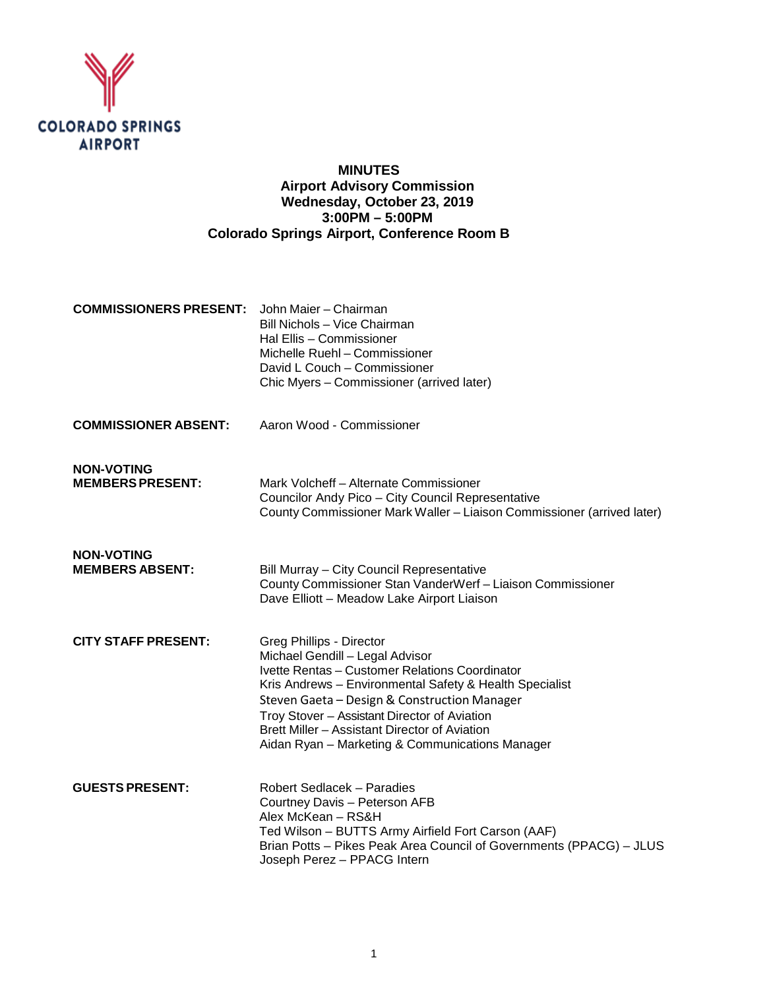

## **MINUTES Airport Advisory Commission Wednesday, October 23, 2019 3:00PM – 5:00PM Colorado Springs Airport, Conference Room B**

| <b>COMMISSIONERS PRESENT:</b> John Maier – Chairman |                                           |
|-----------------------------------------------------|-------------------------------------------|
|                                                     | Bill Nichols - Vice Chairman              |
|                                                     | Hal Ellis - Commissioner                  |
|                                                     | Michelle Ruehl - Commissioner             |
|                                                     | David L Couch – Commissioner              |
|                                                     | Chic Myers - Commissioner (arrived later) |
|                                                     |                                           |

**COMMISSIONER ABSENT:** Aaron Wood - Commissioner

**NON-VOTING**

Mark Volcheff – Alternate Commissioner Councilor Andy Pico – City Council Representative County Commissioner Mark Waller – Liaison Commissioner (arrived later)

**NON-VOTING**

**Bill Murray – City Council Representative** County Commissioner Stan VanderWerf – Liaison Commissioner Dave Elliott – Meadow Lake Airport Liaison

- **CITY STAFF PRESENT:** Greg Phillips Director Michael Gendill – Legal Advisor Ivette Rentas – Customer Relations Coordinator Kris Andrews – Environmental Safety & Health Specialist Steven Gaeta – Design & Construction Manager Troy Stover – Assistant Director of Aviation Brett Miller – Assistant Director of Aviation Aidan Ryan – Marketing & Communications Manager
- **GUESTS PRESENT:** Robert Sedlacek Paradies Courtney Davis – Peterson AFB Alex McKean – RS&H Ted Wilson – BUTTS Army Airfield Fort Carson (AAF) Brian Potts – Pikes Peak Area Council of Governments (PPACG) – JLUS Joseph Perez – PPACG Intern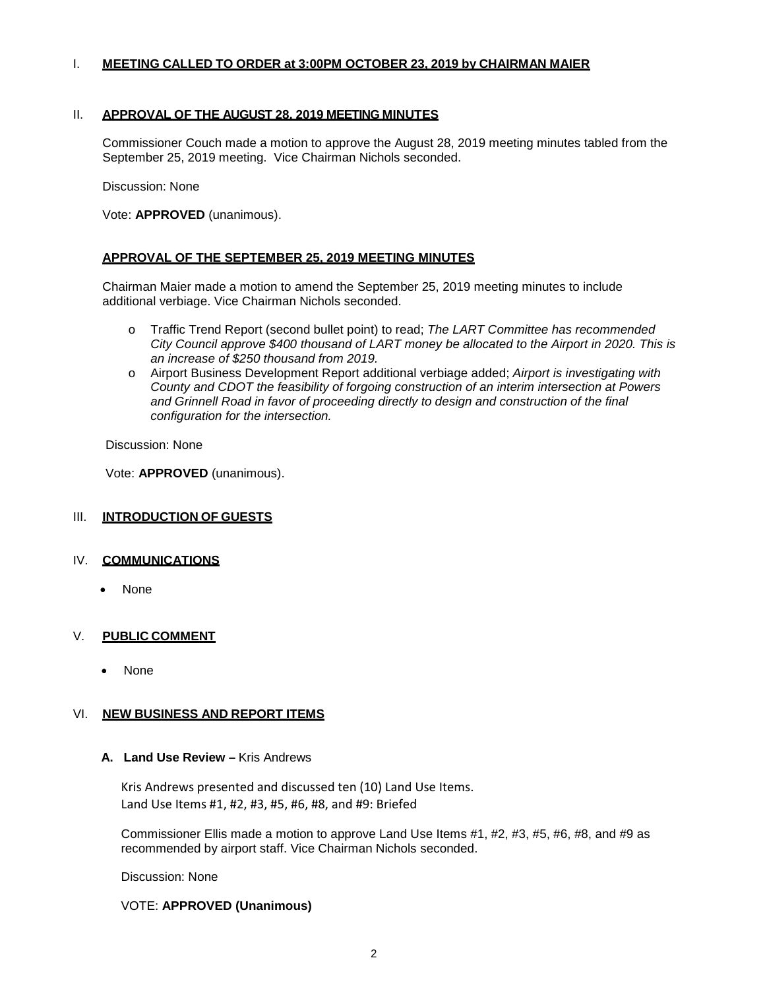## I. **MEETING CALLED TO ORDER at 3:00PM OCTOBER 23, 2019 by CHAIRMAN MAIER**

## II. **APPROVAL OF THE AUGUST 28, 2019 MEETING MINUTES**

Commissioner Couch made a motion to approve the August 28, 2019 meeting minutes tabled from the September 25, 2019 meeting. Vice Chairman Nichols seconded.

Discussion: None

Vote: **APPROVED** (unanimous).

## **APPROVAL OF THE SEPTEMBER 25, 2019 MEETING MINUTES**

Chairman Maier made a motion to amend the September 25, 2019 meeting minutes to include additional verbiage. Vice Chairman Nichols seconded.

- o Traffic Trend Report (second bullet point) to read; *The LART Committee has recommended City Council approve \$400 thousand of LART money be allocated to the Airport in 2020. This is an increase of \$250 thousand from 2019.*
- o Airport Business Development Report additional verbiage added; *Airport is investigating with County and CDOT the feasibility of forgoing construction of an interim intersection at Powers and Grinnell Road in favor of proceeding directly to design and construction of the final configuration for the intersection.*

Discussion: None

Vote: **APPROVED** (unanimous).

## III. **INTRODUCTION OF GUESTS**

## IV. **COMMUNICATIONS**

• None

## V. **PUBLIC COMMENT**

• None

## VI. **NEW BUSINESS AND REPORT ITEMS**

## **A. Land Use Review –** Kris Andrews

Kris Andrews presented and discussed ten (10) Land Use Items. Land Use Items #1, #2, #3, #5, #6, #8, and #9: Briefed

Commissioner Ellis made a motion to approve Land Use Items #1, #2, #3, #5, #6, #8, and #9 as recommended by airport staff. Vice Chairman Nichols seconded.

Discussion: None

## VOTE: **APPROVED (Unanimous)**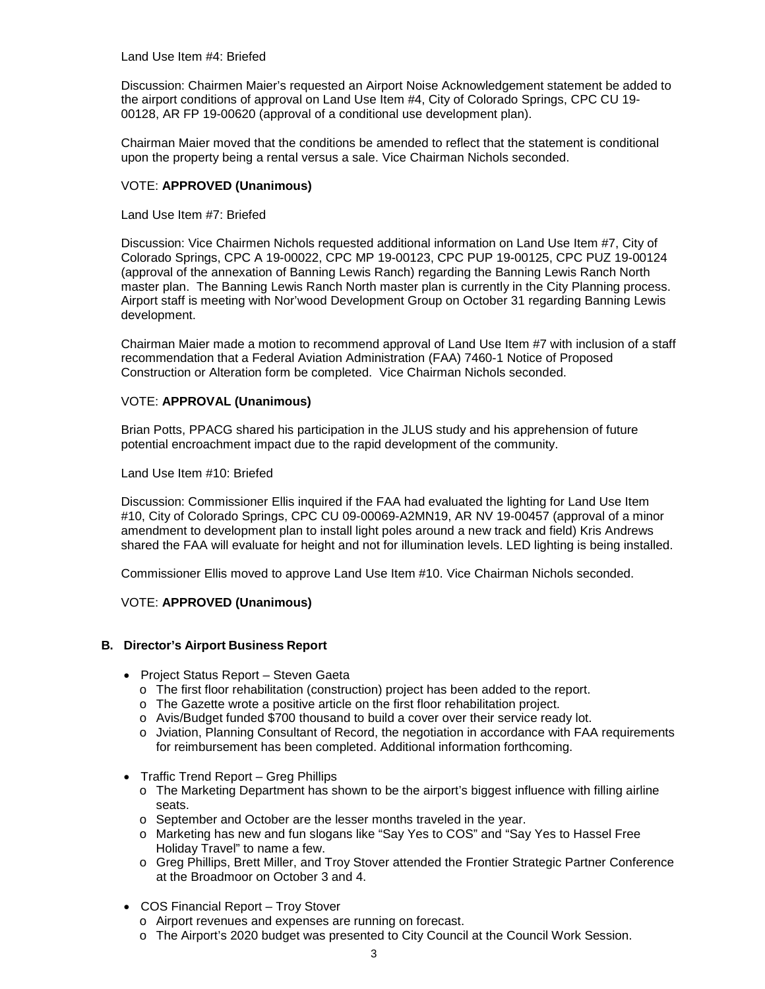Land Use Item #4: Briefed

Discussion: Chairmen Maier's requested an Airport Noise Acknowledgement statement be added to the airport conditions of approval on Land Use Item #4, City of Colorado Springs, CPC CU 19- 00128, AR FP 19-00620 (approval of a conditional use development plan).

Chairman Maier moved that the conditions be amended to reflect that the statement is conditional upon the property being a rental versus a sale. Vice Chairman Nichols seconded.

## VOTE: **APPROVED (Unanimous)**

Land Use Item #7: Briefed

Discussion: Vice Chairmen Nichols requested additional information on Land Use Item #7, City of Colorado Springs, CPC A 19-00022, CPC MP 19-00123, CPC PUP 19-00125, CPC PUZ 19-00124 (approval of the annexation of Banning Lewis Ranch) regarding the Banning Lewis Ranch North master plan. The Banning Lewis Ranch North master plan is currently in the City Planning process. Airport staff is meeting with Nor'wood Development Group on October 31 regarding Banning Lewis development.

Chairman Maier made a motion to recommend approval of Land Use Item #7 with inclusion of a staff recommendation that a Federal Aviation Administration (FAA) 7460-1 Notice of Proposed Construction or Alteration form be completed. Vice Chairman Nichols seconded.

## VOTE: **APPROVAL (Unanimous)**

Brian Potts, PPACG shared his participation in the JLUS study and his apprehension of future potential encroachment impact due to the rapid development of the community.

Land Use Item #10: Briefed

Discussion: Commissioner Ellis inquired if the FAA had evaluated the lighting for Land Use Item #10, City of Colorado Springs, CPC CU 09-00069-A2MN19, AR NV 19-00457 (approval of a minor amendment to development plan to install light poles around a new track and field) Kris Andrews shared the FAA will evaluate for height and not for illumination levels. LED lighting is being installed.

Commissioner Ellis moved to approve Land Use Item #10. Vice Chairman Nichols seconded.

## VOTE: **APPROVED (Unanimous)**

## **B. Director's Airport Business Report**

- Project Status Report Steven Gaeta
	- o The first floor rehabilitation (construction) project has been added to the report.
	- o The Gazette wrote a positive article on the first floor rehabilitation project.
	- o Avis/Budget funded \$700 thousand to build a cover over their service ready lot.
	- o Jviation, Planning Consultant of Record, the negotiation in accordance with FAA requirements for reimbursement has been completed. Additional information forthcoming.
- Traffic Trend Report Greg Phillips
	- o The Marketing Department has shown to be the airport's biggest influence with filling airline seats.
	- o September and October are the lesser months traveled in the year.
	- o Marketing has new and fun slogans like "Say Yes to COS" and "Say Yes to Hassel Free Holiday Travel" to name a few.
	- o Greg Phillips, Brett Miller, and Troy Stover attended the Frontier Strategic Partner Conference at the Broadmoor on October 3 and 4.
- COS Financial Report Troy Stover
	- o Airport revenues and expenses are running on forecast.
	- o The Airport's 2020 budget was presented to City Council at the Council Work Session.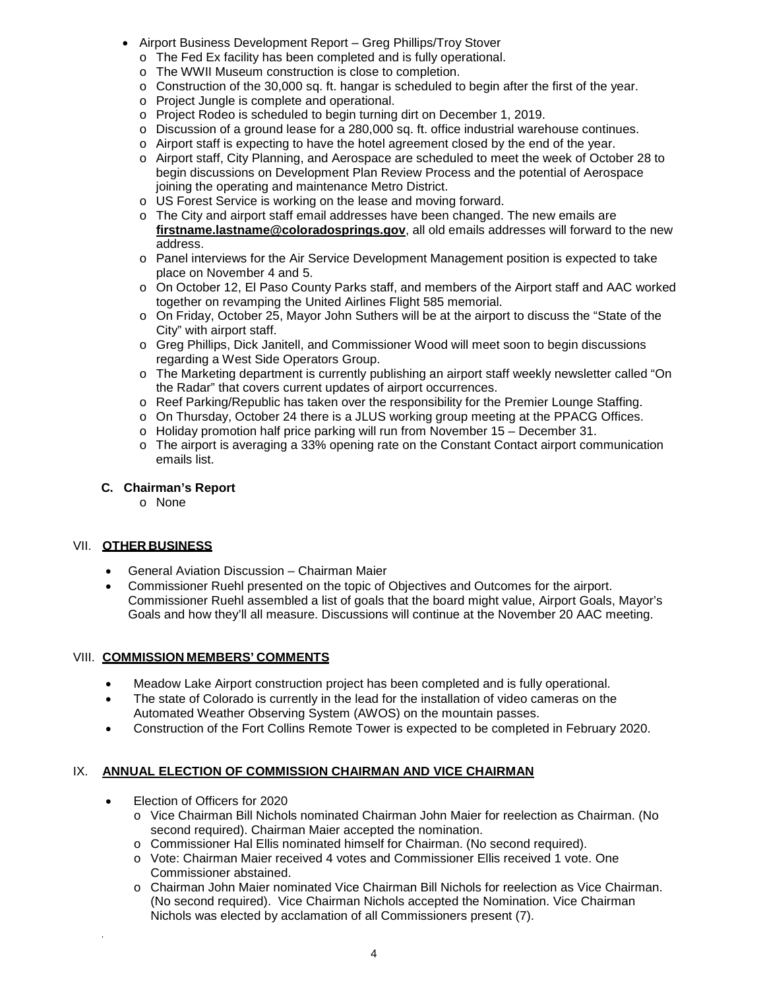- Airport Business Development Report Greg Phillips/Troy Stover
	- o The Fed Ex facility has been completed and is fully operational.
	- o The WWII Museum construction is close to completion.
	- $\circ$  Construction of the 30,000 sq. ft. hangar is scheduled to begin after the first of the year.
	- o Project Jungle is complete and operational.
	- o Project Rodeo is scheduled to begin turning dirt on December 1, 2019.
	- o Discussion of a ground lease for a 280,000 sq. ft. office industrial warehouse continues.
	- o Airport staff is expecting to have the hotel agreement closed by the end of the year.
	- o Airport staff, City Planning, and Aerospace are scheduled to meet the week of October 28 to begin discussions on Development Plan Review Process and the potential of Aerospace joining the operating and maintenance Metro District.
	- o US Forest Service is working on the lease and moving forward.
	- o The City and airport staff email addresses have been changed. The new emails are **firstname.lastname@coloradosprings.gov**, all old emails addresses will forward to the new address.
	- o Panel interviews for the Air Service Development Management position is expected to take place on November 4 and 5.
	- o On October 12, El Paso County Parks staff, and members of the Airport staff and AAC worked together on revamping the United Airlines Flight 585 memorial.
	- o On Friday, October 25, Mayor John Suthers will be at the airport to discuss the "State of the City" with airport staff.
	- o Greg Phillips, Dick Janitell, and Commissioner Wood will meet soon to begin discussions regarding a West Side Operators Group.
	- o The Marketing department is currently publishing an airport staff weekly newsletter called "On the Radar" that covers current updates of airport occurrences.
	- o Reef Parking/Republic has taken over the responsibility for the Premier Lounge Staffing.
	- o On Thursday, October 24 there is a JLUS working group meeting at the PPACG Offices.
	- o Holiday promotion half price parking will run from November 15 December 31.
	- o The airport is averaging a 33% opening rate on the Constant Contact airport communication emails list.

## **C. Chairman's Report**

o None

## VII. **OTHER BUSINESS**

- General Aviation Discussion Chairman Maier
- Commissioner Ruehl presented on the topic of Objectives and Outcomes for the airport. Commissioner Ruehl assembled a list of goals that the board might value, Airport Goals, Mayor's Goals and how they'll all measure. Discussions will continue at the November 20 AAC meeting.

## VIII. **COMMISSION MEMBERS' COMMENTS**

- Meadow Lake Airport construction project has been completed and is fully operational.
- The state of Colorado is currently in the lead for the installation of video cameras on the Automated Weather Observing System (AWOS) on the mountain passes.
- Construction of the Fort Collins Remote Tower is expected to be completed in February 2020.

## IX. **ANNUAL ELECTION OF COMMISSION CHAIRMAN AND VICE CHAIRMAN**

- Election of Officers for 2020
	- o Vice Chairman Bill Nichols nominated Chairman John Maier for reelection as Chairman. (No second required). Chairman Maier accepted the nomination.
	- o Commissioner Hal Ellis nominated himself for Chairman. (No second required).
	- o Vote: Chairman Maier received 4 votes and Commissioner Ellis received 1 vote. One Commissioner abstained.
	- o Chairman John Maier nominated Vice Chairman Bill Nichols for reelection as Vice Chairman. (No second required). Vice Chairman Nichols accepted the Nomination. Vice Chairman Nichols was elected by acclamation of all Commissioners present (7).